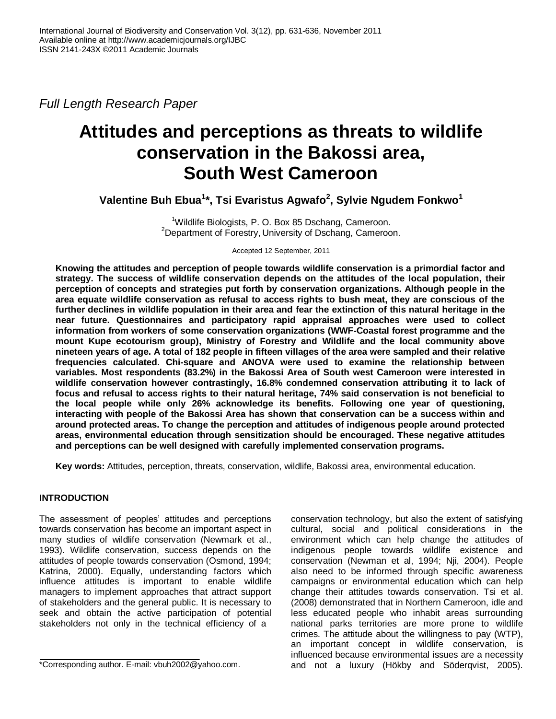*Full Length Research Paper*

# **Attitudes and perceptions as threats to wildlife conservation in the Bakossi area, South West Cameroon**

**Valentine Buh Ebua<sup>1</sup> \*, Tsi Evaristus Agwafo<sup>2</sup> , Sylvie Ngudem Fonkwo<sup>1</sup>**

<sup>1</sup>Wildlife Biologists, P. O. Box 85 Dschang, Cameroon. <sup>2</sup>Department of Forestry, University of Dschang, Cameroon.

Accepted 12 September, 2011

**Knowing the attitudes and perception of people towards wildlife conservation is a primordial factor and strategy. The success of wildlife conservation depends on the attitudes of the local population, their perception of concepts and strategies put forth by conservation organizations. Although people in the area equate wildlife conservation as refusal to access rights to bush meat, they are conscious of the further declines in wildlife population in their area and fear the extinction of this natural heritage in the near future. Questionnaires and participatory rapid appraisal approaches were used to collect information from workers of some conservation organizations (WWF-Coastal forest programme and the mount Kupe ecotourism group), Ministry of Forestry and Wildlife and the local community above nineteen years of age. A total of 182 people in fifteen villages of the area were sampled and their relative frequencies calculated. Chi-square and ANOVA were used to examine the relationship between variables. Most respondents (83.2%) in the Bakossi Area of South west Cameroon were interested in wildlife conservation however contrastingly, 16.8% condemned conservation attributing it to lack of focus and refusal to access rights to their natural heritage, 74% said conservation is not beneficial to the local people while only 26% acknowledge its benefits. Following one year of questioning, interacting with people of the Bakossi Area has shown that conservation can be a success within and around protected areas. To change the perception and attitudes of indigenous people around protected areas, environmental education through sensitization should be encouraged. These negative attitudes and perceptions can be well designed with carefully implemented conservation programs.**

**Key words:** Attitudes, perception, threats, conservation, wildlife, Bakossi area, environmental education.

# **INTRODUCTION**

The assessment of peoples' attitudes and perceptions towards conservation has become an important aspect in many studies of wildlife conservation (Newmark et al., 1993). Wildlife conservation, success depends on the attitudes of people towards conservation (Osmond, 1994; Katrina, 2000). Equally, understanding factors which influence attitudes is important to enable wildlife managers to implement approaches that attract support of stakeholders and the general public. It is necessary to seek and obtain the active participation of potential stakeholders not only in the technical efficiency of a

conservation technology, but also the extent of satisfying cultural, social and political considerations in the environment which can help change the attitudes of indigenous people towards wildlife existence and conservation (Newman et al, 1994; Nji, 2004). People also need to be informed through specific awareness campaigns or environmental education which can help change their attitudes towards conservation. Tsi et al. (2008) demonstrated that in Northern Cameroon, idle and less educated people who inhabit areas surrounding national parks territories are more prone to wildlife crimes. The attitude about the willingness to pay (WTP), an important concept in wildlife conservation, is influenced because environmental issues are a necessity and not a luxury (Hökby and Söderqvist, 2005).

<sup>\*</sup>Corresponding author. E-mail: vbuh2002@yahoo.com.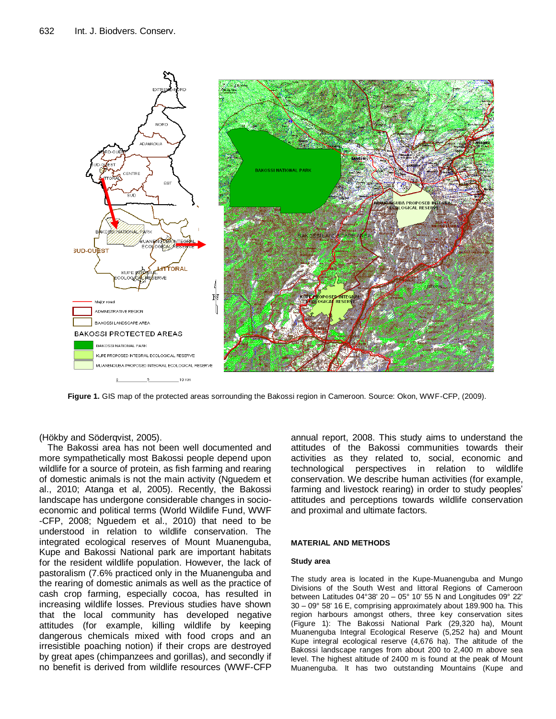

**Figure 1.** GIS map of the protected areas sorrounding the Bakossi region in Cameroon. Source: Okon, WWF-CFP, (2009).

(Hökby and Söderqvist, 2005).

The Bakossi area has not been well documented and more sympathetically most Bakossi people depend upon wildlife for a source of protein, as fish farming and rearing of domestic animals is not the main activity (Nguedem et al., 2010; Atanga et al, 2005). Recently, the Bakossi landscape has undergone considerable changes in socioeconomic and political terms (World Wildlife Fund, WWF -CFP, 2008; Nguedem et al., 2010) that need to be understood in relation to wildlife conservation. The integrated ecological reserves of Mount Muanenguba, Kupe and Bakossi National park are important habitats for the resident wildlife population. However, the lack of pastoralism (7.6% practiced only in the Muanenguba and the rearing of domestic animals as well as the practice of cash crop farming, especially cocoa, has resulted in increasing wildlife losses. Previous studies have shown that the local community has developed negative attitudes (for example, killing wildlife by keeping dangerous chemicals mixed with food crops and an irresistible poaching notion) if their crops are destroyed by great apes (chimpanzees and gorillas), and secondly if no benefit is derived from wildlife resources (WWF-CFP

annual report, 2008. This study aims to understand the attitudes of the Bakossi communities towards their activities as they related to, social, economic and technological perspectives in relation to wildlife conservation. We describe human activities (for example, farming and livestock rearing) in order to study peoples' attitudes and perceptions towards wildlife conservation and proximal and ultimate factors.

## **MATERIAL AND METHODS**

#### **Study area**

The study area is located in the Kupe-Muanenguba and Mungo Divisions of the South West and littoral Regions of Cameroon between Latitudes 04°38' 20 – 05° 10' 55 N and Longitudes 09° 22' 30 – 09° 58' 16 E, comprising approximately about 189.900 ha. This region harbours amongst others, three key conservation sites (Figure 1): The Bakossi National Park (29,320 ha), Mount Muanenguba Integral Ecological Reserve (5,252 ha) and Mount Kupe integral ecological reserve (4,676 ha). The altitude of the Bakossi landscape ranges from about 200 to 2,400 m above sea level. The highest altitude of 2400 m is found at the peak of Mount Muanenguba. It has two outstanding Mountains (Kupe and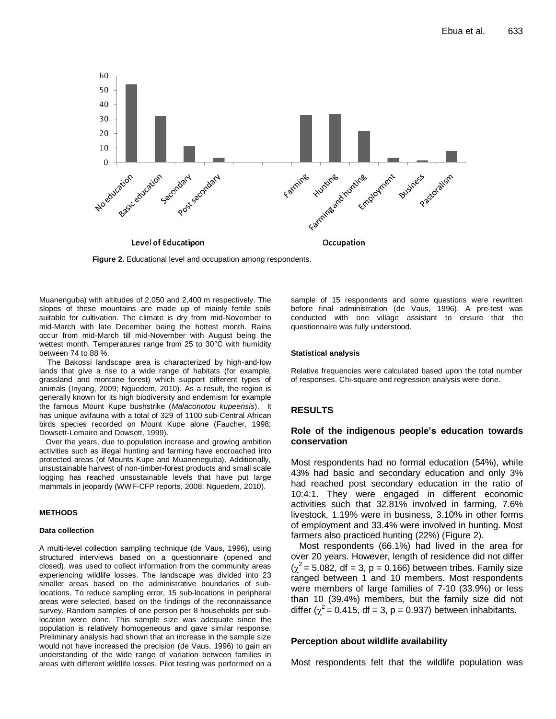

**Figure 2.** Educational level and occupation among respondents.

Muanenguba) with altitudes of 2,050 and 2,400 m respectively. The slopes of these mountains are made up of mainly fertile soils suitable for cultivation. The climate is dry from mid-November to mid-March with late December being the hottest month. Rains occur from mid-March till mid-November with August being the wettest month. Temperatures range from 25 to 30°C with humidity between 74 to 88 %.

The Bakossi landscape area is characterized by high-and-low lands that give a rise to a wide range of habitats (for example, grassland and montane forest) which support different types of animals (Inyang, 2009; Nguedem, 2010). As a result, the region is generally known for its high biodiversity and endemism for example the famous Mount Kupe bushstrike (*Malaconotou kupeensis*). It has unique avifauna with a total of 329 of 1100 sub-Central African birds species recorded on Mount Kupe alone (Faucher, 1998; Dowsett-Lemaire and Dowsett, 1999).

 Over the years, due to population increase and growing ambition activities such as illegal hunting and farming have encroached into protected areas (of Mounts Kupe and Muaneneguba). Additionally, unsustainable harvest of non-timber-forest products and small scale logging has reached unsustainable levels that have put large mammals in jeopardy (WWF-CFP reports, 2008; Nguedem, 2010).

#### **METHODS**

#### **Data collection**

A multi-level collection sampling technique (de Vaus, 1996), using structured interviews based on a questionnaire (opened and closed), was used to collect information from the community areas experiencing wildlife losses. The landscape was divided into 23 smaller areas based on the administrative boundaries of sublocations. To reduce sampling error, 15 sub-locations in peripheral areas were selected, based on the findings of the reconnaissance survey. Random samples of one person per 8 households per sublocation were done. This sample size was adequate since the population is relatively homogeneous and gave similar response. Preliminary analysis had shown that an increase in the sample size would not have increased the precision (de Vaus, 1996) to gain an understanding of the wide range of variation between families in areas with different wildlife losses. Pilot testing was performed on a sample of 15 respondents and some questions were rewritten before final administration (de Vaus, 1996). A pre-test was conducted with one village assistant to ensure that the questionnaire was fully understood.

#### **Statistical analysis**

Relative frequencies were calculated based upon the total number of responses. Chi-square and regression analysis were done.

#### **RESULTS**

#### **Role of the indigenous people's education towards conservation**

Most respondents had no formal education (54%), while 43% had basic and secondary education and only 3% had reached post secondary education in the ratio of 10:4:1. They were engaged in different economic activities such that 32.81% involved in farming, 7.6% livestock, 1.19% were in business, 3.10% in other forms of employment and 33.4% were involved in hunting. Most farmers also practiced hunting (22%) (Figure 2).

Most respondents (66.1%) had lived in the area for over 20 years. However, length of residence did not differ  $(\chi^2 = 5.082, df = 3, p = 0.166)$  between tribes. Family size ranged between 1 and 10 members. Most respondents were members of large families of 7-10 (33.9%) or less than 10 (39.4%) members, but the family size did not differ ( $\chi^2$  = 0.415, df = 3, p = 0.937) between inhabitants.

#### **Perception about wildlife availability**

Most respondents felt that the wildlife population was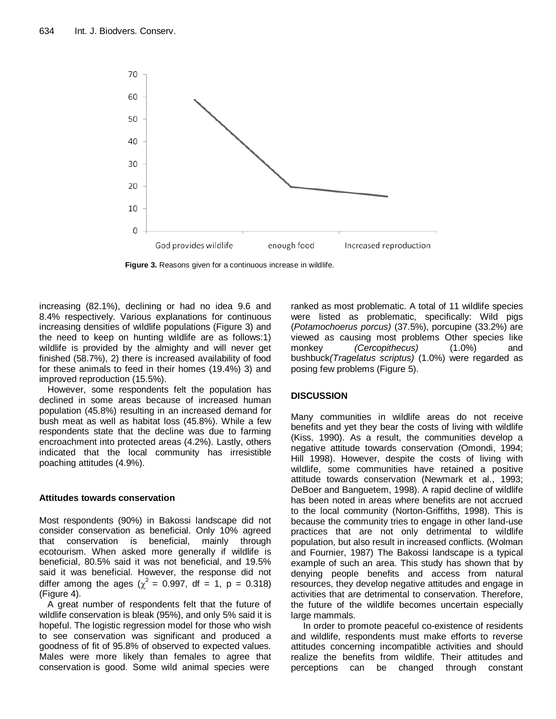

**Figure 3.** Reasons given for a continuous increase in wildlife.

increasing (82.1%), declining or had no idea 9.6 and 8.4% respectively. Various explanations for continuous increasing densities of wildlife populations (Figure 3) and the need to keep on hunting wildlife are as follows:1) wildlife is provided by the almighty and will never get finished (58.7%), 2) there is increased availability of food for these animals to feed in their homes (19.4%) 3) and improved reproduction (15.5%).

However, some respondents felt the population has declined in some areas because of increased human population (45.8%) resulting in an increased demand for bush meat as well as habitat loss (45.8%). While a few respondents state that the decline was due to farming encroachment into protected areas (4.2%). Lastly, others indicated that the local community has irresistible poaching attitudes (4.9%).

## **Attitudes towards conservation**

Most respondents (90%) in Bakossi landscape did not consider conservation as beneficial. Only 10% agreed that conservation is beneficial, mainly through ecotourism. When asked more generally if wildlife is beneficial, 80.5% said it was not beneficial, and 19.5% said it was beneficial. However, the response did not differ among the ages ( $\chi^2 = 0.997$ , df = 1, p = 0.318) (Figure 4).

A great number of respondents felt that the future of wildlife conservation is bleak (95%), and only 5% said it is hopeful. The logistic regression model for those who wish to see conservation was significant and produced a goodness of fit of 95.8% of observed to expected values. Males were more likely than females to agree that conservation is good. Some wild animal species were

ranked as most problematic. A total of 11 wildlife species were listed as problematic, specifically: Wild pigs (*Potamochoerus porcus)* (37.5%), porcupine (33.2%) are viewed as causing most problems Other species like monkey *(Cercopithecus)* (1.0%) and bushbuck*(Tragelatus scriptus)* (1.0%) were regarded as posing few problems (Figure 5).

# **DISCUSSION**

Many communities in wildlife areas do not receive benefits and yet they bear the costs of living with wildlife (Kiss, 1990). As a result, the communities develop a negative attitude towards conservation (Omondi, 1994; Hill 1998). However, despite the costs of living with wildlife, some communities have retained a positive attitude towards conservation (Newmark et al*.*, 1993; DeBoer and Banguetem, 1998). A rapid decline of wildlife has been noted in areas where benefits are not accrued to the local community (Norton-Griffiths, 1998). This is because the community tries to engage in other land-use practices that are not only detrimental to wildlife population, but also result in increased conflicts. (Wolman and Fournier, 1987) The Bakossi landscape is a typical example of such an area. This study has shown that by denying people benefits and access from natural resources, they develop negative attitudes and engage in activities that are detrimental to conservation. Therefore, the future of the wildlife becomes uncertain especially large mammals.

In order to promote peaceful co-existence of residents and wildlife, respondents must make efforts to reverse attitudes concerning incompatible activities and should realize the benefits from wildlife. Their attitudes and perceptions can be changed through constant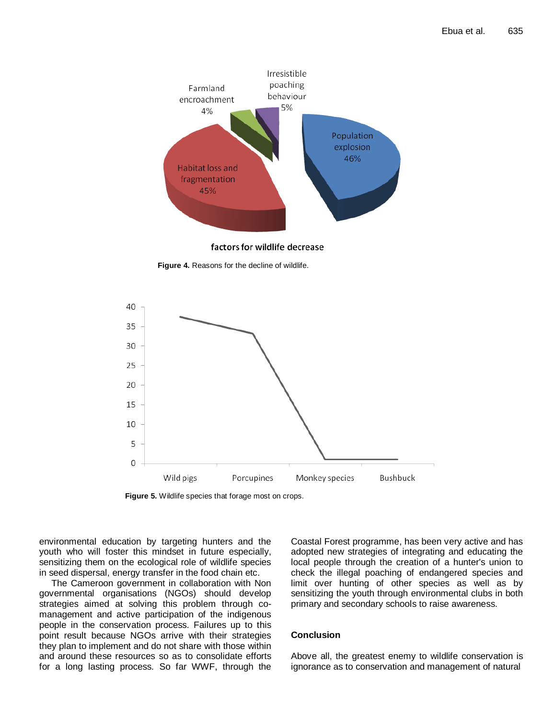

factors for wildlife decrease

**Figure 4.** Reasons for the decline of wildlife.



**Figure 5.** Wildlife species that forage most on crops.

environmental education by targeting hunters and the youth who will foster this mindset in future especially, sensitizing them on the ecological role of wildlife species in seed dispersal, energy transfer in the food chain etc.

The Cameroon government in collaboration with Non governmental organisations (NGOs) should develop strategies aimed at solving this problem through comanagement and active participation of the indigenous people in the conservation process. Failures up to this point result because NGOs arrive with their strategies they plan to implement and do not share with those within and around these resources so as to consolidate efforts for a long lasting process. So far WWF, through the Coastal Forest programme, has been very active and has adopted new strategies of integrating and educating the local people through the creation of a hunter's union to check the illegal poaching of endangered species and limit over hunting of other species as well as by sensitizing the youth through environmental clubs in both primary and secondary schools to raise awareness.

## **Conclusion**

Above all, the greatest enemy to wildlife conservation is ignorance as to conservation and management of natural